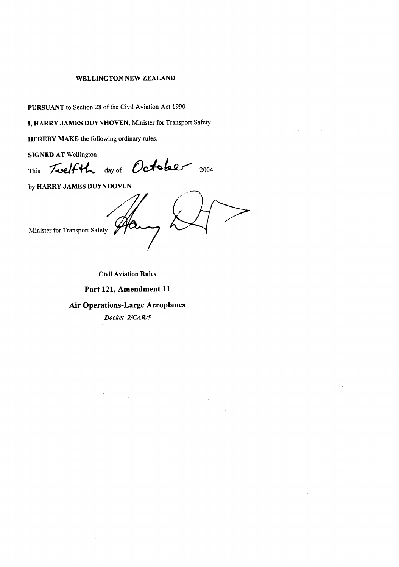#### **WELLINGTON NEW ZEALAND**

PURSUANT to Section 28 of the Civil Aviation Act 1990

I, HARRY JAMES DUYNHOVEN, Minister for Transport Safety,

HEREBY MAKE the following ordinary rules.

**SIGNED AT Wellington** 

Twelfth day of October 2004 This

by HARRY JAMES DUYNHOVEN

Minister for Transport Safety

**Civil Aviation Rules** 

Part 121, Amendment 11

**Air Operations-Large Aeroplanes** 

Docket 2/CAR/5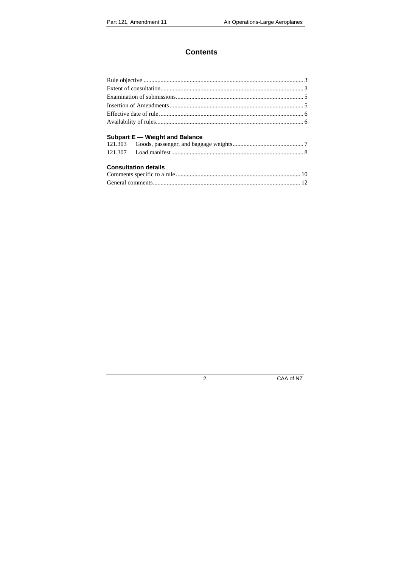## **Contents**

### **Subpart E** - Weight and Balance

#### **Consultation details**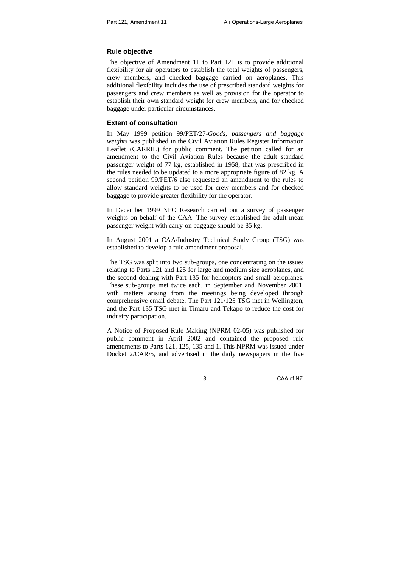## **Rule objective**

The objective of Amendment 11 to Part 121 is to provide additional flexibility for air operators to establish the total weights of passengers, crew members, and checked baggage carried on aeroplanes. This additional flexibility includes the use of prescribed standard weights for passengers and crew members as well as provision for the operator to establish their own standard weight for crew members, and for checked baggage under particular circumstances.

### **Extent of consultation**

In May 1999 petition 99/PET/27-*Goods, passengers and baggage weights* was published in the Civil Aviation Rules Register Information Leaflet (CARRIL) for public comment. The petition called for an amendment to the Civil Aviation Rules because the adult standard passenger weight of 77 kg, established in 1958, that was prescribed in the rules needed to be updated to a more appropriate figure of 82 kg. A second petition 99/PET/6 also requested an amendment to the rules to allow standard weights to be used for crew members and for checked baggage to provide greater flexibility for the operator.

In December 1999 NFO Research carried out a survey of passenger weights on behalf of the CAA. The survey established the adult mean passenger weight with carry-on baggage should be 85 kg.

In August 2001 a CAA/Industry Technical Study Group (TSG) was established to develop a rule amendment proposal.

The TSG was split into two sub-groups, one concentrating on the issues relating to Parts 121 and 125 for large and medium size aeroplanes, and the second dealing with Part 135 for helicopters and small aeroplanes. These sub-groups met twice each, in September and November 2001, with matters arising from the meetings being developed through comprehensive email debate. The Part 121/125 TSG met in Wellington, and the Part 135 TSG met in Timaru and Tekapo to reduce the cost for industry participation.

A Notice of Proposed Rule Making (NPRM 02-05) was published for public comment in April 2002 and contained the proposed rule amendments to Parts 121, 125, 135 and 1. This NPRM was issued under Docket 2/CAR/5, and advertised in the daily newspapers in the five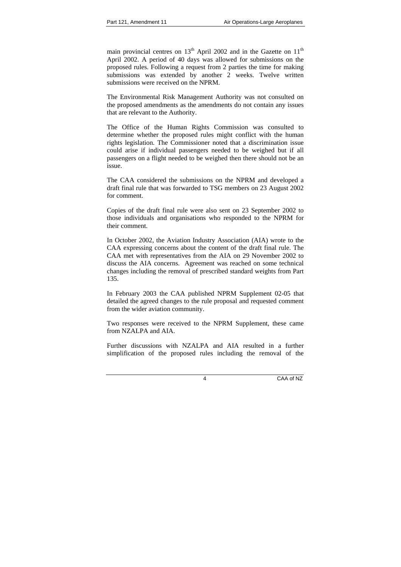main provincial centres on  $13<sup>th</sup>$  April 2002 and in the Gazette on  $11<sup>th</sup>$ April 2002. A period of 40 days was allowed for submissions on the proposed rules. Following a request from 2 parties the time for making submissions was extended by another 2 weeks. Twelve written submissions were received on the NPRM.

The Environmental Risk Management Authority was not consulted on the proposed amendments as the amendments do not contain any issues that are relevant to the Authority.

The Office of the Human Rights Commission was consulted to determine whether the proposed rules might conflict with the human rights legislation. The Commissioner noted that a discrimination issue could arise if individual passengers needed to be weighed but if all passengers on a flight needed to be weighed then there should not be an issue.

The CAA considered the submissions on the NPRM and developed a draft final rule that was forwarded to TSG members on 23 August 2002 for comment.

Copies of the draft final rule were also sent on 23 September 2002 to those individuals and organisations who responded to the NPRM for their comment.

In October 2002, the Aviation Industry Association (AIA) wrote to the CAA expressing concerns about the content of the draft final rule. The CAA met with representatives from the AIA on 29 November 2002 to discuss the AIA concerns. Agreement was reached on some technical changes including the removal of prescribed standard weights from Part 135.

In February 2003 the CAA published NPRM Supplement 02-05 that detailed the agreed changes to the rule proposal and requested comment from the wider aviation community.

Two responses were received to the NPRM Supplement, these came from NZALPA and AIA.

Further discussions with NZALPA and AIA resulted in a further simplification of the proposed rules including the removal of the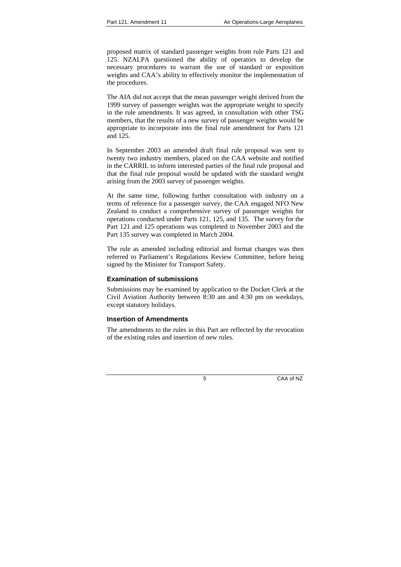proposed matrix of standard passenger weights from rule Parts 121 and 125. NZALPA questioned the ability of operators to develop the necessary procedures to warrant the use of standard or exposition weights and CAA's ability to effectively monitor the implementation of the procedures.

The AIA did not accept that the mean passenger weight derived from the 1999 survey of passenger weights was the appropriate weight to specify in the rule amendments. It was agreed, in consultation with other TSG members, that the results of a new survey of passenger weights would be appropriate to incorporate into the final rule amendment for Parts 121 and 125.

In September 2003 an amended draft final rule proposal was sent to twenty two industry members, placed on the CAA website and notified in the CARRIL to inform interested parties of the final rule proposal and that the final rule proposal would be updated with the standard weight arising from the 2003 survey of passenger weights.

At the same time, following further consultation with industry on a terms of reference for a passenger survey, the CAA engaged NFO New Zealand to conduct a comprehensive survey of passenger weights for operations conducted under Parts 121, 125, and 135. The survey for the Part 121 and 125 operations was completed in November 2003 and the Part 135 survey was completed in March 2004.

The rule as amended including editorial and format changes was then referred to Parliament's Regulations Review Committee, before being signed by the Minister for Transport Safety.

### **Examination of submissions**

Submissions may be examined by application to the Docket Clerk at the Civil Aviation Authority between 8:30 am and 4:30 pm on weekdays, except statutory holidays.

### **Insertion of Amendments**

The amendments to the rules in this Part are reflected by the revocation of the existing rules and insertion of new rules.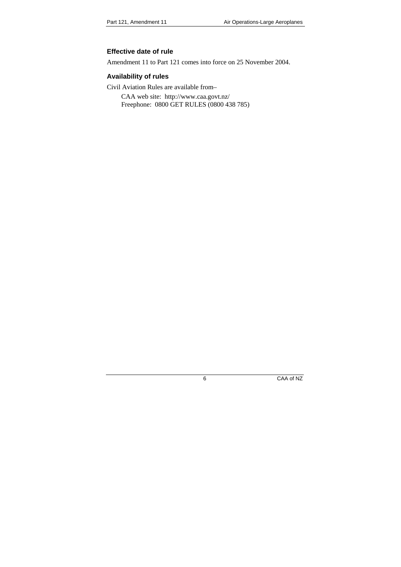### **Effective date of rule**

Amendment 11 to Part 121 comes into force on 25 November 2004.

### **Availability of rules**

Civil Aviation Rules are available from–

CAA web site: http://www.caa.govt.nz/ Freephone: 0800 GET RULES (0800 438 785)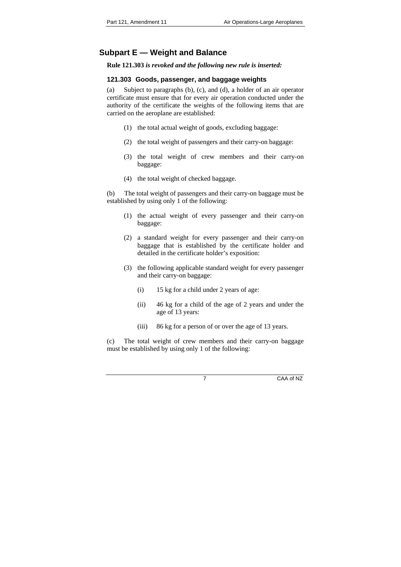## **Subpart E — Weight and Balance**

**Rule 121.303** *is revoked and the following new rule is inserted:* 

### **121.303 Goods, passenger, and baggage weights**

(a) Subject to paragraphs (b), (c), and (d), a holder of an air operator certificate must ensure that for every air operation conducted under the authority of the certificate the weights of the following items that are carried on the aeroplane are established:

- (1) the total actual weight of goods, excluding baggage:
- (2) the total weight of passengers and their carry-on baggage:
- (3) the total weight of crew members and their carry-on baggage:
- (4) the total weight of checked baggage.

(b) The total weight of passengers and their carry-on baggage must be established by using only 1 of the following:

- (1) the actual weight of every passenger and their carry-on baggage:
- (2) a standard weight for every passenger and their carry-on baggage that is established by the certificate holder and detailed in the certificate holder's exposition:
- (3) the following applicable standard weight for every passenger and their carry-on baggage:
	- (i) 15 kg for a child under 2 years of age:
	- (ii) 46 kg for a child of the age of 2 years and under the age of 13 years:
	- (iii) 86 kg for a person of or over the age of 13 years.

(c) The total weight of crew members and their carry-on baggage must be established by using only 1 of the following: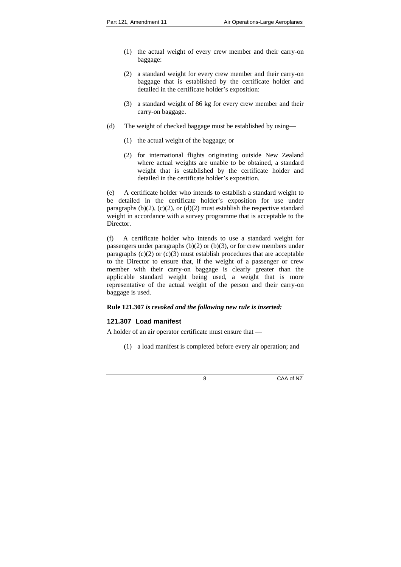- (1) the actual weight of every crew member and their carry-on baggage:
- (2) a standard weight for every crew member and their carry-on baggage that is established by the certificate holder and detailed in the certificate holder's exposition:
- (3) a standard weight of 86 kg for every crew member and their carry-on baggage.
- (d) The weight of checked baggage must be established by using—
	- (1) the actual weight of the baggage; or
	- (2) for international flights originating outside New Zealand where actual weights are unable to be obtained, a standard weight that is established by the certificate holder and detailed in the certificate holder's exposition.

(e) A certificate holder who intends to establish a standard weight to be detailed in the certificate holder's exposition for use under paragraphs (b)(2), (c)(2), or (d)(2) must establish the respective standard weight in accordance with a survey programme that is acceptable to the Director.

(f) A certificate holder who intends to use a standard weight for passengers under paragraphs  $(b)(2)$  or  $(b)(3)$ , or for crew members under paragraphs  $(c)(2)$  or  $(c)(3)$  must establish procedures that are acceptable to the Director to ensure that, if the weight of a passenger or crew member with their carry-on baggage is clearly greater than the applicable standard weight being used, a weight that is more representative of the actual weight of the person and their carry-on baggage is used.

### **Rule 121.307** *is revoked and the following new rule is inserted:*

### **121.307 Load manifest**

A holder of an air operator certificate must ensure that —

(1) a load manifest is completed before every air operation; and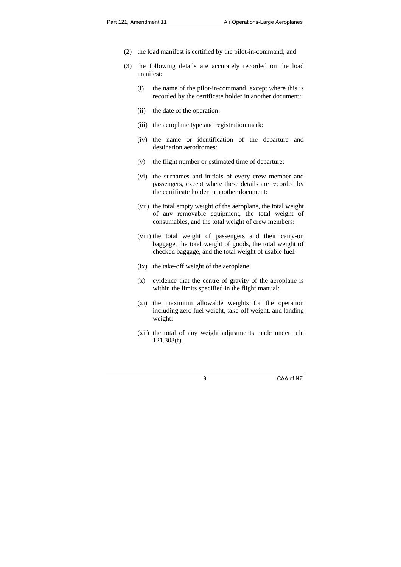- (2) the load manifest is certified by the pilot-in-command; and
- (3) the following details are accurately recorded on the load manifest:
	- (i) the name of the pilot-in-command, except where this is recorded by the certificate holder in another document:
	- (ii) the date of the operation:
	- (iii) the aeroplane type and registration mark:
	- (iv) the name or identification of the departure and destination aerodromes:
	- (v) the flight number or estimated time of departure:
	- (vi) the surnames and initials of every crew member and passengers, except where these details are recorded by the certificate holder in another document:
	- (vii) the total empty weight of the aeroplane, the total weight of any removable equipment, the total weight of consumables, and the total weight of crew members:
	- (viii) the total weight of passengers and their carry-on baggage, the total weight of goods, the total weight of checked baggage, and the total weight of usable fuel:
	- (ix) the take-off weight of the aeroplane:
	- (x) evidence that the centre of gravity of the aeroplane is within the limits specified in the flight manual:
	- (xi) the maximum allowable weights for the operation including zero fuel weight, take-off weight, and landing weight:
	- (xii) the total of any weight adjustments made under rule 121.303(f).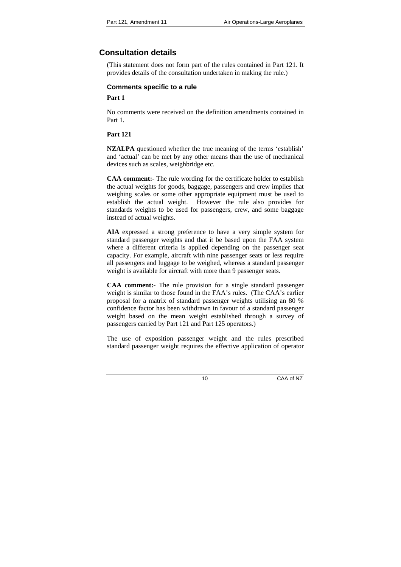# **Consultation details**

(This statement does not form part of the rules contained in Part 121. It provides details of the consultation undertaken in making the rule.)

### **Comments specific to a rule**

### **Part 1**

No comments were received on the definition amendments contained in Part 1.

### **Part 121**

**NZALPA** questioned whether the true meaning of the terms 'establish' and 'actual' can be met by any other means than the use of mechanical devices such as scales, weighbridge etc.

**CAA comment:**- The rule wording for the certificate holder to establish the actual weights for goods, baggage, passengers and crew implies that weighing scales or some other appropriate equipment must be used to establish the actual weight. However the rule also provides for standards weights to be used for passengers, crew, and some baggage instead of actual weights.

**AIA** expressed a strong preference to have a very simple system for standard passenger weights and that it be based upon the FAA system where a different criteria is applied depending on the passenger seat capacity. For example, aircraft with nine passenger seats or less require all passengers and luggage to be weighed, whereas a standard passenger weight is available for aircraft with more than 9 passenger seats.

**CAA comment:**- The rule provision for a single standard passenger weight is similar to those found in the FAA's rules. (The CAA's earlier proposal for a matrix of standard passenger weights utilising an 80 % confidence factor has been withdrawn in favour of a standard passenger weight based on the mean weight established through a survey of passengers carried by Part 121 and Part 125 operators.)

The use of exposition passenger weight and the rules prescribed standard passenger weight requires the effective application of operator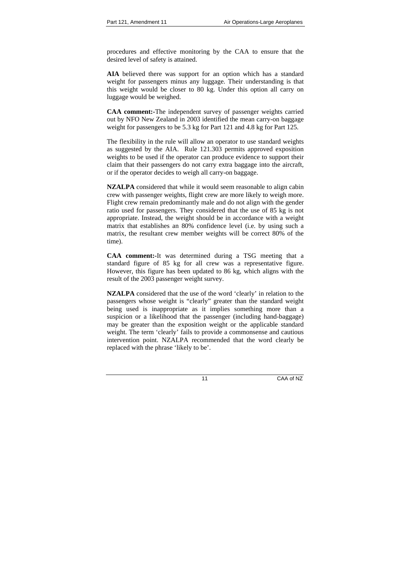procedures and effective monitoring by the CAA to ensure that the desired level of safety is attained.

**AIA** believed there was support for an option which has a standard weight for passengers minus any luggage. Their understanding is that this weight would be closer to 80 kg. Under this option all carry on luggage would be weighed.

**CAA comment:-**The independent survey of passenger weights carried out by NFO New Zealand in 2003 identified the mean carry-on baggage weight for passengers to be 5.3 kg for Part 121 and 4.8 kg for Part 125.

The flexibility in the rule will allow an operator to use standard weights as suggested by the AIA. Rule 121.303 permits approved exposition weights to be used if the operator can produce evidence to support their claim that their passengers do not carry extra baggage into the aircraft, or if the operator decides to weigh all carry-on baggage.

**NZALPA** considered that while it would seem reasonable to align cabin crew with passenger weights, flight crew are more likely to weigh more. Flight crew remain predominantly male and do not align with the gender ratio used for passengers. They considered that the use of 85 kg is not appropriate. Instead, the weight should be in accordance with a weight matrix that establishes an 80% confidence level (i.e. by using such a matrix, the resultant crew member weights will be correct 80% of the time).

**CAA comment:-**It was determined during a TSG meeting that a standard figure of 85 kg for all crew was a representative figure. However, this figure has been updated to 86 kg, which aligns with the result of the 2003 passenger weight survey.

**NZALPA** considered that the use of the word 'clearly' in relation to the passengers whose weight is "clearly" greater than the standard weight being used is inappropriate as it implies something more than a suspicion or a likelihood that the passenger (including hand-baggage) may be greater than the exposition weight or the applicable standard weight. The term 'clearly' fails to provide a commonsense and cautious intervention point. NZALPA recommended that the word clearly be replaced with the phrase 'likely to be'.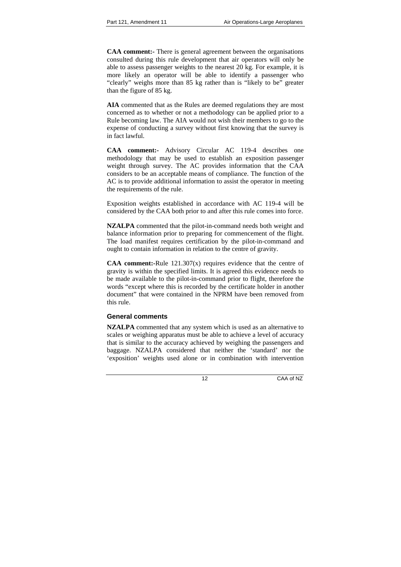**CAA comment:-** There is general agreement between the organisations consulted during this rule development that air operators will only be able to assess passenger weights to the nearest 20 kg. For example, it is more likely an operator will be able to identify a passenger who "clearly" weighs more than 85 kg rather than is "likely to be" greater than the figure of 85 kg.

**AIA** commented that as the Rules are deemed regulations they are most concerned as to whether or not a methodology can be applied prior to a Rule becoming law. The AIA would not wish their members to go to the expense of conducting a survey without first knowing that the survey is in fact lawful.

**CAA comment:-** Advisory Circular AC 119-4 describes one methodology that may be used to establish an exposition passenger weight through survey. The AC provides information that the CAA considers to be an acceptable means of compliance. The function of the AC is to provide additional information to assist the operator in meeting the requirements of the rule.

Exposition weights established in accordance with AC 119-4 will be considered by the CAA both prior to and after this rule comes into force.

**NZALPA** commented that the pilot-in-command needs both weight and balance information prior to preparing for commencement of the flight. The load manifest requires certification by the pilot-in-command and ought to contain information in relation to the centre of gravity.

**CAA comment:-**Rule 121.307(x) requires evidence that the centre of gravity is within the specified limits. It is agreed this evidence needs to be made available to the pilot-in-command prior to flight, therefore the words "except where this is recorded by the certificate holder in another document" that were contained in the NPRM have been removed from this rule.

### **General comments**

**NZALPA** commented that any system which is used as an alternative to scales or weighing apparatus must be able to achieve a level of accuracy that is similar to the accuracy achieved by weighing the passengers and baggage. NZALPA considered that neither the 'standard' nor the 'exposition' weights used alone or in combination with intervention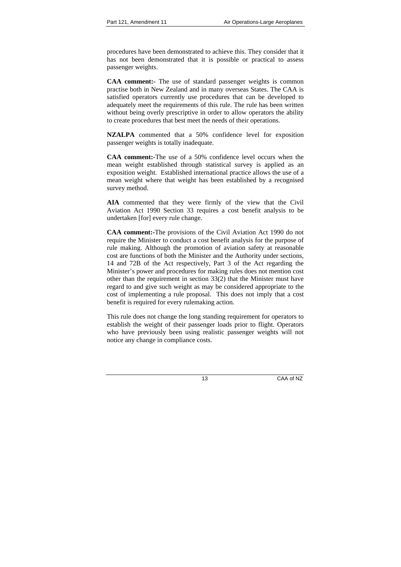procedures have been demonstrated to achieve this. They consider that it has not been demonstrated that it is possible or practical to assess passenger weights.

**CAA comment:-** The use of standard passenger weights is common practise both in New Zealand and in many overseas States. The CAA is satisfied operators currently use procedures that can be developed to adequately meet the requirements of this rule. The rule has been written without being overly prescriptive in order to allow operators the ability to create procedures that best meet the needs of their operations.

**NZALPA** commented that a 50% confidence level for exposition passenger weights is totally inadequate.

**CAA comment:-**The use of a 50% confidence level occurs when the mean weight established through statistical survey is applied as an exposition weight. Established international practice allows the use of a mean weight where that weight has been established by a recognised survey method.

**AIA** commented that they were firmly of the view that the Civil Aviation Act 1990 Section 33 requires a cost benefit analysis to be undertaken [for] every rule change.

**CAA comment:-**The provisions of the Civil Aviation Act 1990 do not require the Minister to conduct a cost benefit analysis for the purpose of rule making. Although the promotion of aviation safety at reasonable cost are functions of both the Minister and the Authority under sections, 14 and 72B of the Act respectively, Part 3 of the Act regarding the Minister's power and procedures for making rules does not mention cost other than the requirement in section 33(2) that the Minister must have regard to and give such weight as may be considered appropriate to the cost of implementing a rule proposal. This does not imply that a cost benefit is required for every rulemaking action.

This rule does not change the long standing requirement for operators to establish the weight of their passenger loads prior to flight. Operators who have previously been using realistic passenger weights will not notice any change in compliance costs.